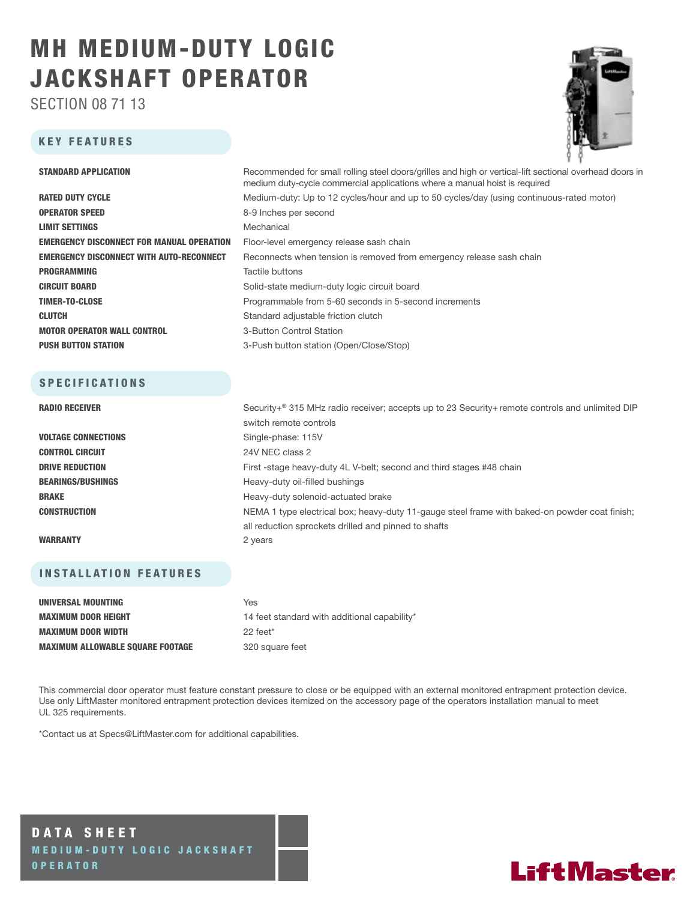# MH MEDIUM-DUTY LOGIC JACKSHAFT OPERATOR

SECTION 08 71 13

### KEY FEATURES



| <b>STANDARD APPLICATION</b>                      | Recommended for small rolling steel doors/grilles and high or vertical-lift sectional overhead doors in<br>medium duty-cycle commercial applications where a manual hoist is required |  |  |  |  |
|--------------------------------------------------|---------------------------------------------------------------------------------------------------------------------------------------------------------------------------------------|--|--|--|--|
| <b>RATED DUTY CYCLE</b>                          | Medium-duty: Up to 12 cycles/hour and up to 50 cycles/day (using continuous-rated motor)                                                                                              |  |  |  |  |
| <b>OPERATOR SPEED</b>                            | 8-9 Inches per second                                                                                                                                                                 |  |  |  |  |
| <b>LIMIT SETTINGS</b>                            | Mechanical                                                                                                                                                                            |  |  |  |  |
| <b>EMERGENCY DISCONNECT FOR MANUAL OPERATION</b> | Floor-level emergency release sash chain                                                                                                                                              |  |  |  |  |
| <b>EMERGENCY DISCONNECT WITH AUTO-RECONNECT</b>  | Reconnects when tension is removed from emergency release sash chain                                                                                                                  |  |  |  |  |
| <b>PROGRAMMING</b>                               | Tactile buttons                                                                                                                                                                       |  |  |  |  |
| <b>CIRCUIT BOARD</b>                             | Solid-state medium-duty logic circuit board                                                                                                                                           |  |  |  |  |
| <b>TIMER-TO-CLOSE</b>                            | Programmable from 5-60 seconds in 5-second increments                                                                                                                                 |  |  |  |  |
| <b>CLUTCH</b>                                    | Standard adjustable friction clutch                                                                                                                                                   |  |  |  |  |
| <b>MOTOR OPERATOR WALL CONTROL</b>               | 3-Button Control Station                                                                                                                                                              |  |  |  |  |
| <b>PUSH BUTTON STATION</b>                       | 3-Push button station (Open/Close/Stop)                                                                                                                                               |  |  |  |  |
|                                                  |                                                                                                                                                                                       |  |  |  |  |
| <b>SPECIFICATIONS</b>                            |                                                                                                                                                                                       |  |  |  |  |
| <b>RADIO RECEIVER</b>                            | Security+® 315 MHz radio receiver; accepts up to 23 Security+ remote controls and unlimited DIP                                                                                       |  |  |  |  |
|                                                  | switch remote controls                                                                                                                                                                |  |  |  |  |
| <b>VOLTAGE CONNECTIONS</b>                       | Single-phase: 115V                                                                                                                                                                    |  |  |  |  |
| <b>CONTROL CIRCUIT</b>                           | 24V NEC class 2                                                                                                                                                                       |  |  |  |  |

DRIVE REDUCTION First -stage heavy-duty 4L V-belt; second and third stages #48 chain BEARINGS/BUSHINGS **Heavy-duty oil-filled bushings** BRAKE **BRAKE** Heavy-duty solenoid-actuated brake **CONSTRUCTION** NEMA 1 type electrical box; heavy-duty 11-gauge steel frame with baked-on powder coat finish; all reduction sprockets drilled and pinned to shafts

#### WARRANTY 2 years

### INSTALLATION FEATURES

| UNIVERSAL MOUNTING                      | Yes                                          |
|-----------------------------------------|----------------------------------------------|
| <b>MAXIMUM DOOR HEIGHT</b>              | 14 feet standard with additional capability* |
| <b>MAXIMUM DOOR WIDTH</b>               | $22$ feet <sup>*</sup>                       |
| <b>MAXIMUM ALLOWABLE SQUARE FOOTAGE</b> | 320 square feet                              |

This commercial door operator must feature constant pressure to close or be equipped with an external monitored entrapment protection device. Use only LiftMaster monitored entrapment protection devices itemized on the accessory page of the operators installation manual to meet UL 325 requirements.

\*Contact us at Specs@LiftMaster.com for additional capabilities.

DATA SHEET MEDIUM-DUTY LOGIC JACKSHAFT OPERATOR

## **LiftMaster**